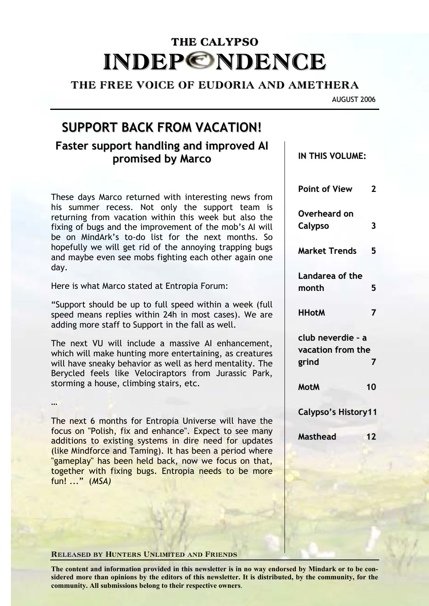# THE CALYPSO **INDEP©NDENCE**

### THE FREE VOICE OF EUDORIA AND AMETHERA

AUGUST 2006

# **SUPPORT BACK FROM VACATION!**

# **Faster support handling and improved AI promised by Marco**

These days Marco returned with interesting news from his summer recess. Not only the support team is returning from vacation within this week but also the fixing of bugs and the improvement of the mob's AI will be on MindArk's to-do list for the next months. So hopefully we will get rid of the annoying trapping bugs and maybe even see mobs fighting each other again one day.

Here is what Marco stated at Entropia Forum:

"Support should be up to full speed within a week (full speed means replies within 24h in most cases). We are adding more staff to Support in the fall as well.

The next VU will include a massive AI enhancement, which will make hunting more entertaining, as creatures will have sneaky behavior as well as herd mentality. The Berycled feels like Velociraptors from Jurassic Park, storming a house, climbing stairs, etc.

…

The next 6 months for Entropia Universe will have the focus on "Polish, fix and enhance". Expect to see many additions to existing systems in dire need for updates (like Mindforce and Taming). It has been a period where "gameplay" has been held back, now we focus on that, together with fixing bugs. Entropia needs to be more fun! ..." (*MSA)*

# Released by Hunters Unlimited and Friends

**The content and information provided in this newsletter is in no way endorsed by Mindark or to be considered more than opinions by the editors of this newsletter. It is distributed, by the community, for the community. All submissions belong to their respective owners**.

**IN THIS VOLUME:**

**Point of View 2**

**Calypso 3**

**Market Trends 5**

**HHotM 7**

**club neverdie – a vacation from the grind 7**

**MotM 10**

**Calypso's History11**

**Masthead 12**

**Landarea of the month 5**

**Overheard on**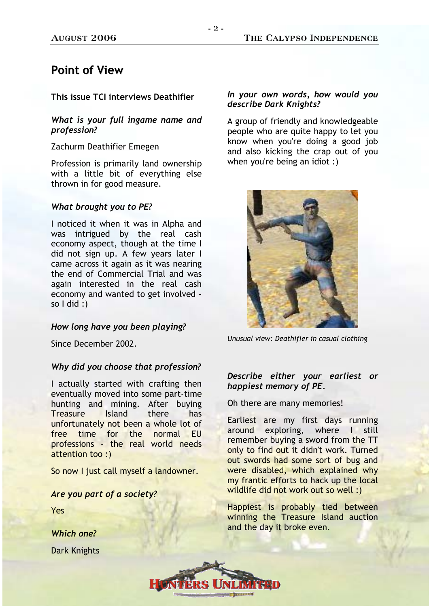#### August 2006 The Calypso Independence

# **Point of View**

**This issue TCI interviews Deathifier** 

### *What is your full ingame name and profession?*

Zachurm Deathifier Emegen

Profession is primarily land ownership with a little bit of everything else thrown in for good measure.

#### *What brought you to PE?*

I noticed it when it was in Alpha and was intrigued by the real cash economy aspect, though at the time I did not sign up. A few years later I came across it again as it was nearing the end of Commercial Trial and was again interested in the real cash economy and wanted to get involved so  $I$  did :)

#### *How long have you been playing?*

Since December 2002.

#### *Why did you choose that profession?*

I actually started with crafting then eventually moved into some part-time hunting and mining. After buying Treasure Island there has unfortunately not been a whole lot of free time for the normal EU professions - the real world needs attention too :)

So now I just call myself a landowner.

#### *Are you part of a society?*

Yes

*Which one?* 

Dark Knights

### *In your own words, how would you describe Dark Knights?*

A group of friendly and knowledgeable people who are quite happy to let you know when you're doing a good job and also kicking the crap out of you when you're being an idiot :)



*Unusual view: Deathifier in casual clothing* 

### *Describe either your earliest or happiest memory of PE.*

Oh there are many memories!

Earliest are my first days running around exploring, where I still remember buying a sword from the TT only to find out it didn't work. Turned out swords had some sort of bug and were disabled, which explained why my frantic efforts to hack up the local wildlife did not work out so well :)

Happiest is probably tied between winning the Treasure Island auction and the day it broke even.

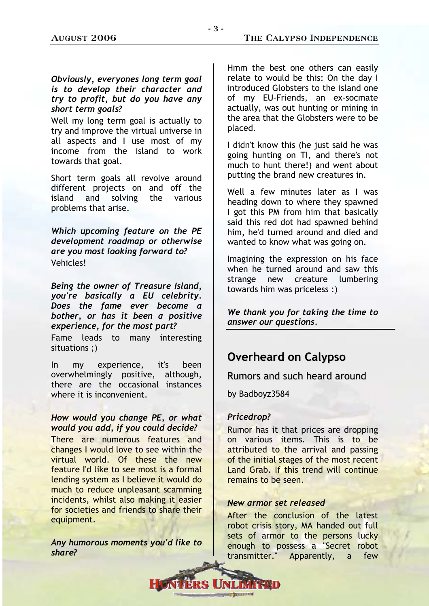### *Obviously, everyones long term goal is to develop their character and try to profit, but do you have any short term goals?*

Well my long term goal is actually to try and improve the virtual universe in all aspects and I use most of my income from the island to work towards that goal.

Short term goals all revolve around different projects on and off the island and solving the various problems that arise.

*Which upcoming feature on the PE development roadmap or otherwise are you most looking forward to?*  Vehicles!

*Being the owner of Treasure Island, you're basically a EU celebrity. Does the fame ever become a bother, or has it been a positive experience, for the most part?* 

Fame leads to many interesting situations ;)

In my experience, it's been overwhelmingly positive, although, there are the occasional instances where it is inconvenient.

### *How would you change PE, or what would you add, if you could decide?*

There are numerous features and changes I would love to see within the virtual world. Of these the new feature I'd like to see most is a formal lending system as I believe it would do much to reduce unpleasant scamming incidents, whilst also making it easier for societies and friends to share their equipment.

*Any humorous moments you'd like to share?* 

Hmm the best one others can easily relate to would be this: On the day I introduced Globsters to the island one of my EU-Friends, an ex-socmate actually, was out hunting or mining in the area that the Globsters were to be placed.

I didn't know this (he just said he was going hunting on TI, and there's not much to hunt there!) and went about putting the brand new creatures in.

Well a few minutes later as I was heading down to where they spawned I got this PM from him that basically said this red dot had spawned behind him, he'd turned around and died and wanted to know what was going on.

Imagining the expression on his face when he turned around and saw this strange new creature lumbering towards him was priceless :)

*We thank you for taking the time to answer our questions.* 

# **Overheard on Calypso**

Rumors and such heard around

by Badboyz3584

### *Pricedrop?*

Rumor has it that prices are dropping on various items. This is to be attributed to the arrival and passing of the initial stages of the most recent Land Grab. If this trend will continue remains to be seen.

### *New armor set released*

After the conclusion of the latest robot crisis story, MA handed out full sets of armor to the persons lucky enough to possess a "Secret robot transmitter." Apparently, a few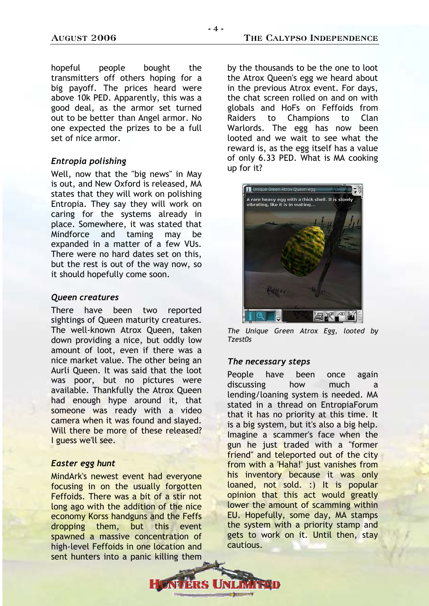hopeful people bought the transmitters off others hoping for a big payoff. The prices heard were above 10k PED. Apparently, this was a good deal, as the armor set turned out to be better than Angel armor. No one expected the prizes to be a full set of nice armor.

### *Entropia polishing*

Well, now that the "big news" in May is out, and New Oxford is released, MA states that they will work on polishing Entropia. They say they will work on caring for the systems already in place. Somewhere, it was stated that Mindforce and taming may be expanded in a matter of a few VUs. There were no hard dates set on this, but the rest is out of the way now, so it should hopefully come soon.

#### *Queen creatures*

There have been two reported sightings of Queen maturity creatures. The well-known Atrox Queen, taken down providing a nice, but oddly low amount of loot, even if there was a nice market value. The other being an Aurli Queen. It was said that the loot was poor, but no pictures were available. Thankfully the Atrox Queen had enough hype around it, that someone was ready with a video camera when it was found and slayed. Will there be more of these released? I guess we'll see.

### *Easter egg hunt*

MindArk's newest event had everyone focusing in on the usually forgotten Feffoids. There was a bit of a stir not long ago with the addition of the nice economy Korss handguns and the Feffs dropping them, but this event spawned a massive concentration of high-level Feffoids in one location and sent hunters into a panic killing them

by the thousands to be the one to loot the Atrox Queen's egg we heard about in the previous Atrox event. For days, the chat screen rolled on and on with globals and HoFs on Feffoids from Raiders to Champions to Clan Warlords. The egg has now been looted and we wait to see what the reward is, as the egg itself has a value of only 6.33 PED. What is MA cooking up for it?



*The Unique Green Atrox Egg, looted by Tzest0s* 

#### *The necessary steps*

People have been once again discussing how much a lending/loaning system is needed. MA stated in a thread on EntropiaForum that it has no priority at this time. It is a big system, but it's also a big help. Imagine a scammer's face when the gun he just traded with a "former friend" and teleported out of the city from with a 'Haha!' just vanishes from his inventory because it was only loaned, not sold. :) It is popular opinion that this act would greatly lower the amount of scamming within EU. Hopefully, some day, MA stamps the system with a priority stamp and gets to work on it. Until then, stay cautious.

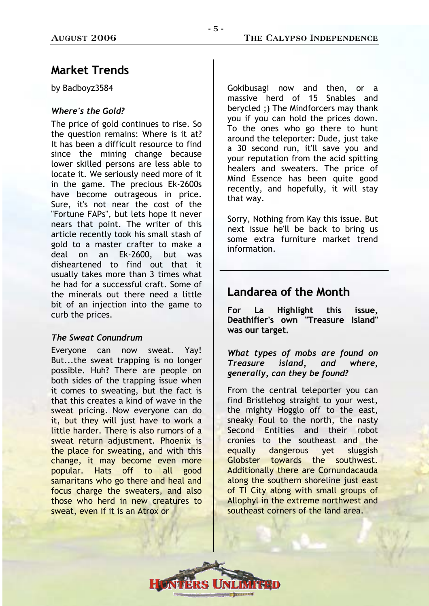#### August 2006 The Calypso Independence

# **Market Trends**

by Badboyz3584

### *Where's the Gold?*

The price of gold continues to rise. So the question remains: Where is it at? It has been a difficult resource to find since the mining change because lower skilled persons are less able to locate it. We seriously need more of it in the game. The precious Ek-2600s have become outrageous in price. Sure, it's not near the cost of the "Fortune FAPs", but lets hope it never nears that point. The writer of this article recently took his small stash of gold to a master crafter to make a deal on an Ek-2600, but was disheartened to find out that it usually takes more than 3 times what he had for a successful craft. Some of the minerals out there need a little bit of an injection into the game to curb the prices.

### *The Sweat Conundrum*

Everyone can now sweat. Yay! But...the sweat trapping is no longer possible. Huh? There are people on both sides of the trapping issue when it comes to sweating, but the fact is that this creates a kind of wave in the sweat pricing. Now everyone can do it, but they will just have to work a little harder. There is also rumors of a sweat return adjustment. Phoenix is the place for sweating, and with this change, it may become even more popular. Hats off to all good samaritans who go there and heal and focus charge the sweaters, and also those who herd in new creatures to sweat, even if it is an Atrox or

Gokibusagi now and then, or a massive herd of 15 Snables and berycled ;) The Mindforcers may thank you if you can hold the prices down. To the ones who go there to hunt around the teleporter: Dude, just take a 30 second run, it'll save you and your reputation from the acid spitting healers and sweaters. The price of Mind Essence has been quite good recently, and hopefully, it will stay that way.

Sorry, Nothing from Kay this issue. But next issue he'll be back to bring us some extra furniture market trend information.

## **Landarea of the Month**

**For La Highlight this issue, Deathifier's own "Treasure Island" was our target.**

*What types of mobs are found on Treasure island, and where, generally, can they be found?* 

From the central teleporter you can find Bristlehog straight to your west, the mighty Hogglo off to the east, sneaky Foul to the north, the nasty Second Entities and their robot cronies to the southeast and the equally dangerous yet sluggish Globster towards the southwest. Additionally there are Cornundacauda along the southern shoreline just east of TI City along with small groups of Allophyl in the extreme northwest and southeast corners of the land area.

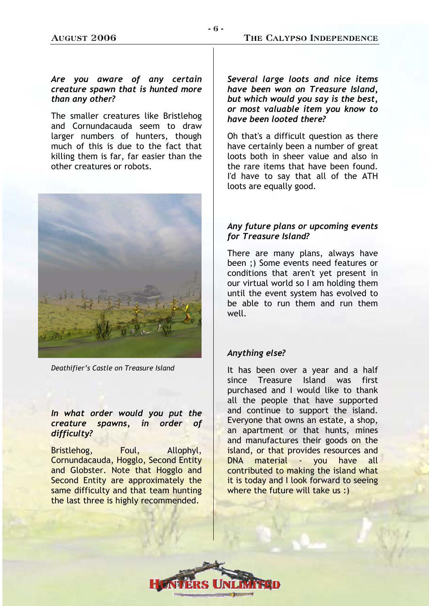### *Are you aware of any certain creature spawn that is hunted more than any other?*

The smaller creatures like Bristlehog and Cornundacauda seem to draw larger numbers of hunters, though much of this is due to the fact that killing them is far, far easier than the other creatures or robots.



*Deathifier's Castle on Treasure Island* 

### *In what order would you put the creature spawns, in order of difficulty?*

Bristlehog, Foul, Allophyl, Cornundacauda, Hogglo, Second Entity and Globster. Note that Hogglo and Second Entity are approximately the same difficulty and that team hunting the last three is highly recommended.

*Several large loots and nice items have been won on Treasure Island, but which would you say is the best, or most valuable item you know to have been looted there?* 

Oh that's a difficult question as there have certainly been a number of great loots both in sheer value and also in the rare items that have been found. I'd have to say that all of the ATH loots are equally good.

### *Any future plans or upcoming events for Treasure Island?*

There are many plans, always have been ;) Some events need features or conditions that aren't yet present in our virtual world so I am holding them until the event system has evolved to be able to run them and run them well.

### *Anything else?*

It has been over a year and a half since Treasure Island was first purchased and I would like to thank all the people that have supported and continue to support the island. Everyone that owns an estate, a shop, an apartment or that hunts, mines and manufactures their goods on the island, or that provides resources and DNA material - you have all contributed to making the island what it is today and I look forward to seeing where the future will take us :)

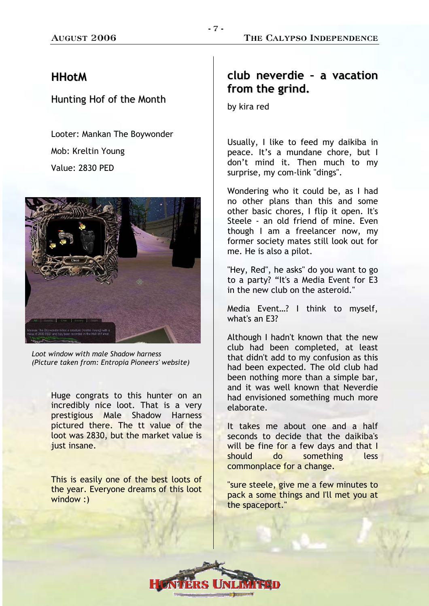### **HHotM**

### Hunting Hof of the Month

Looter: Mankan The Boywonder Mob: Kreltin Young Value: 2830 PED



*Loot window with male Shadow harness (Picture taken from: Entropia Pioneers' website)* 

Huge congrats to this hunter on an incredibly nice loot. That is a very prestigious Male Shadow Harness pictured there. The tt value of the loot was 2830, but the market value is just insane.

This is easily one of the best loots of the year. Everyone dreams of this loot window :)

# **club neverdie – a vacation from the grind.**

by kira red

Usually, I like to feed my daikiba in peace. It's a mundane chore, but I don't mind it. Then much to my surprise, my com-link "dings".

Wondering who it could be, as I had no other plans than this and some other basic chores, I flip it open. It's Steele - an old friend of mine. Even though I am a freelancer now, my former society mates still look out for me. He is also a pilot.

"Hey, Red", he asks" do you want to go to a party? "It's a Media Event for E3 in the new club on the asteroid."

Media Event…? I think to myself, what's an E3?

Although I hadn't known that the new club had been completed, at least that didn't add to my confusion as this had been expected. The old club had been nothing more than a simple bar, and it was well known that Neverdie had envisioned something much more elaborate.

It takes me about one and a half seconds to decide that the daikiba's will be fine for a few days and that I should do something less commonplace for a change.

"sure steele, give me a few minutes to pack a some things and I'll met you at the spaceport."

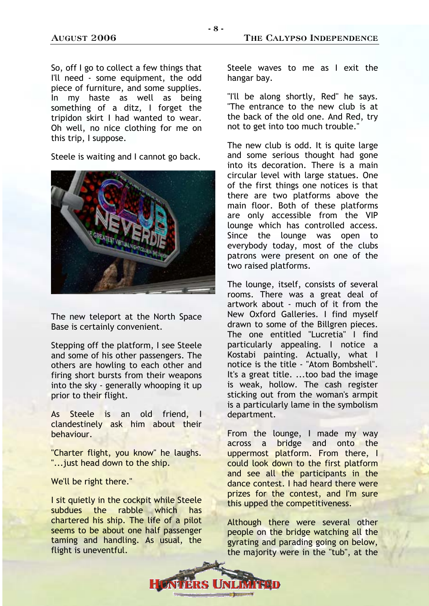So, off I go to collect a few things that I'll need - some equipment, the odd piece of furniture, and some supplies. In my haste as well as being something of a ditz, I forget the tripidon skirt I had wanted to wear. Oh well, no nice clothing for me on this trip, I suppose.

Steele is waiting and I cannot go back.



The new teleport at the North Space Base is certainly convenient.

Stepping off the platform, I see Steele and some of his other passengers. The others are howling to each other and firing short bursts from their weapons into the sky - generally whooping it up prior to their flight.

As Steele is an old friend, I clandestinely ask him about their behaviour.

"Charter flight, you know" he laughs. "...just head down to the ship.

We'll be right there."

I sit quietly in the cockpit while Steele subdues the rabble which has chartered his ship. The life of a pilot seems to be about one half passenger taming and handling. As usual, the flight is uneventful.

Steele waves to me as I exit the hangar bay.

"I'll be along shortly, Red" he says. "The entrance to the new club is at the back of the old one. And Red, try not to get into too much trouble."

The new club is odd. It is quite large and some serious thought had gone into its decoration. There is a main circular level with large statues. One of the first things one notices is that there are two platforms above the main floor. Both of these platforms are only accessible from the VIP lounge which has controlled access. Since the lounge was open to everybody today, most of the clubs patrons were present on one of the two raised platforms.

The lounge, itself, consists of several rooms. There was a great deal of artwork about - much of it from the New Oxford Galleries. I find myself drawn to some of the Billgren pieces. The one entitled "Lucretia" I find particularly appealing. I notice a Kostabi painting. Actually, what I notice is the title - "Atom Bombshell". It's a great title. ...too bad the image is weak, hollow. The cash register sticking out from the woman's armpit is a particularly lame in the symbolism department.

From the lounge, I made my way across a bridge and onto the uppermost platform. From there, I could look down to the first platform and see all the participants in the dance contest. I had heard there were prizes for the contest, and I'm sure this upped the competitiveness.

Although there were several other people on the bridge watching all the gyrating and parading going on below, the majority were in the "tub", at the

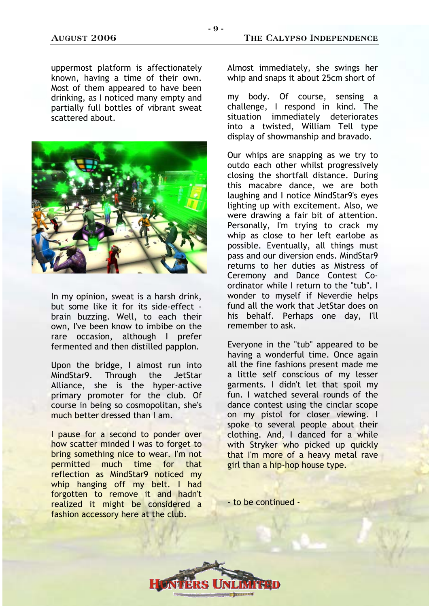uppermost platform is affectionately known, having a time of their own. Most of them appeared to have been drinking, as I noticed many empty and partially full bottles of vibrant sweat scattered about.



In my opinion, sweat is a harsh drink, but some like it for its side-effect brain buzzing. Well, to each their own, I've been know to imbibe on the rare occasion, although I prefer fermented and then distilled papplon.

Upon the bridge, I almost run into MindStar9. Through the JetStar Alliance, she is the hyper-active primary promoter for the club. Of course in being so cosmopolitan, she's much better dressed than I am.

I pause for a second to ponder over how scatter minded I was to forget to bring something nice to wear. I'm not permitted much time for that reflection as MindStar9 noticed my whip hanging off my belt. I had forgotten to remove it and hadn't realized it might be considered a fashion accessory here at the club.

Almost immediately, she swings her whip and snaps it about 25cm short of

my body. Of course, sensing a challenge, I respond in kind. The situation immediately deteriorates into a twisted, William Tell type display of showmanship and bravado.

Our whips are snapping as we try to outdo each other whilst progressively closing the shortfall distance. During this macabre dance, we are both laughing and I notice MindStar9's eyes lighting up with excitement. Also, we were drawing a fair bit of attention. Personally, I'm trying to crack my whip as close to her left earlobe as possible. Eventually, all things must pass and our diversion ends. MindStar9 returns to her duties as Mistress of Ceremony and Dance Contest Coordinator while I return to the "tub". I wonder to myself if Neverdie helps fund all the work that JetStar does on his behalf. Perhaps one day, I'll remember to ask.

Everyone in the "tub" appeared to be having a wonderful time. Once again all the fine fashions present made me a little self conscious of my lesser garments. I didn't let that spoil my fun. I watched several rounds of the dance contest using the cinclar scope on my pistol for closer viewing. I spoke to several people about their clothing. And, I danced for a while with Stryker who picked up quickly that I'm more of a heavy metal rave girl than a hip-hop house type.

- to be continued -

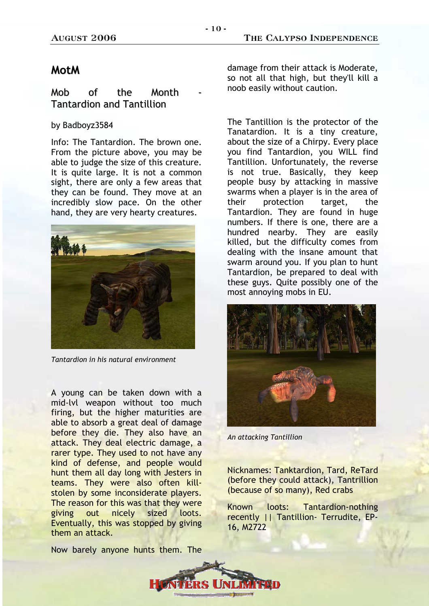#### August 2006 The Calypso Independence

### **MotM**

### Mob of the Month Tantardion and Tantillion

#### by Badboyz3584

Info: The Tantardion. The brown one. From the picture above, you may be able to judge the size of this creature. It is quite large. It is not a common sight, there are only a few areas that they can be found. They move at an incredibly slow pace. On the other hand, they are very hearty creatures.



*Tantardion in his natural environment* 

A young can be taken down with a mid-lvl weapon without too much firing, but the higher maturities are able to absorb a great deal of damage before they die. They also have an attack. They deal electric damage, a rarer type. They used to not have any kind of defense, and people would hunt them all day long with Jesters in teams. They were also often killstolen by some inconsiderate players. The reason for this was that they were giving out nicely sized loots. Eventually, this was stopped by giving them an attack.

Now barely anyone hunts them. The

damage from their attack is Moderate, so not all that high, but they'll kill a noob easily without caution.

The Tantillion is the protector of the Tanatardion. It is a tiny creature, about the size of a Chirpy. Every place you find Tantardion, you WILL find Tantillion. Unfortunately, the reverse is not true. Basically, they keep people busy by attacking in massive swarms when a player is in the area of their protection target, the Tantardion. They are found in huge numbers. If there is one, there are a hundred nearby. They are easily killed, but the difficulty comes from dealing with the insane amount that swarm around you. If you plan to hunt Tantardion, be prepared to deal with these guys. Quite possibly one of the most annoying mobs in EU.



*An attacking Tantillion* 

Nicknames: Tanktardion, Tard, ReTard (before they could attack), Tantrillion (because of so many), Red crabs

Known loots: Tantardion-nothing recently || Tantillion- Terrudite, EP-16, M2722

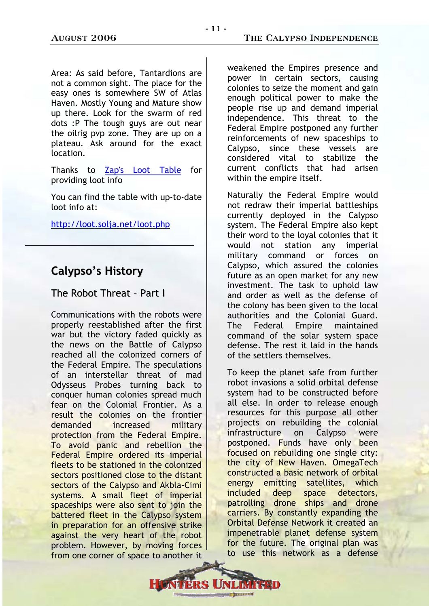Area: As said before, Tantardions are not a common sight. The place for the easy ones is somewhere SW of Atlas Haven. Mostly Young and Mature show up there. Look for the swarm of red dots :P The tough guys are out near the oilrig pvp zone. They are up on a plateau. Ask around for the exact location.

Thanks to [Zap's Loot Table](http://loot.solja.net/loot.php) for providing loot info

You can find the table with up-to-date loot info at:

<http://loot.solja.net/loot.php>

## **Calypso's History**

### The Robot Threat – Part I

Communications with the robots were properly reestablished after the first war but the victory faded quickly as the news on the Battle of Calypso reached all the colonized corners of the Federal Empire. The speculations of an interstellar threat of mad Odysseus Probes turning back to conquer human colonies spread much fear on the Colonial Frontier. As a result the colonies on the frontier demanded increased military protection from the Federal Empire. To avoid panic and rebellion the Federal Empire ordered its imperial fleets to be stationed in the colonized sectors positioned close to the distant sectors of the Calypso and Akbla-Cimi systems. A small fleet of imperial spaceships were also sent to join the battered fleet in the Calypso system in preparation for an offensive strike against the very heart of the robot problem. However, by moving forces from one corner of space to another it

weakened the Empires presence and power in certain sectors, causing colonies to seize the moment and gain enough political power to make the people rise up and demand imperial independence. This threat to the Federal Empire postponed any further reinforcements of new spaceships to Calypso, since these vessels are considered vital to stabilize the current conflicts that had arisen within the empire itself.

Naturally the Federal Empire would not redraw their imperial battleships currently deployed in the Calypso system. The Federal Empire also kept their word to the loyal colonies that it would not station any imperial military command or forces on Calypso, which assured the colonies future as an open market for any new investment. The task to uphold law and order as well as the defense of the colony has been given to the local authorities and the Colonial Guard. The Federal Empire maintained command of the solar system space defense. The rest it laid in the hands of the settlers themselves.

To keep the planet safe from further robot invasions a solid orbital defense system had to be constructed before all else. In order to release enough resources for this purpose all other projects on rebuilding the colonial infrastructure on Calypso were postponed. Funds have only been focused on rebuilding one single city: the city of New Haven. OmegaTech constructed a basic network of orbital energy emitting satellites, which included deep space detectors, patrolling drone ships and drone carriers. By constantly expanding the Orbital Defense Network it created an impenetrable planet defense system for the future. The original plan was to use this network as a defense